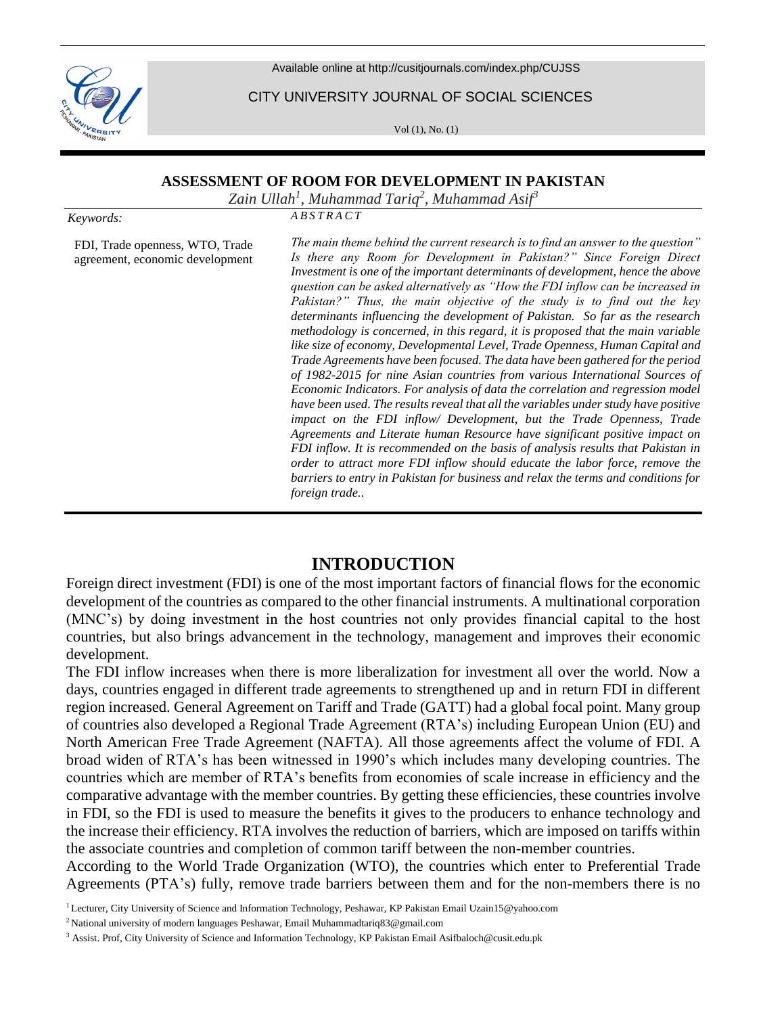

Available online at <http://cusitjournals.com/index.php/CUJSS>

CITY UNIVERSITY JOURNAL OF SOCIAL SCIENCES

Vol (1), No. (1)

#### **ASSESSMENT OF ROOM FOR DEVELOPMENT IN PAKISTAN**

*Zain Ullah<sup>1</sup> , Muhammad Tariq<sup>2</sup> , Muhammad Asif<sup>3</sup>*

*Keywords:*

FDI, Trade openness, WTO, Trade agreement, economic development *A B S T R A C T*

*The main theme behind the current research is to find an answer to the question" Is there any Room for Development in Pakistan?" Since Foreign Direct Investment is one of the important determinants of development, hence the above question can be asked alternatively as "How the FDI inflow can be increased in Pakistan?" Thus, the main objective of the study is to find out the key determinants influencing the development of Pakistan. So far as the research methodology is concerned, in this regard, it is proposed that the main variable like size of economy, Developmental Level, Trade Openness, Human Capital and Trade Agreements have been focused. The data have been gathered for the period of 1982-2015 for nine Asian countries from various International Sources of Economic Indicators. For analysis of data the correlation and regression model have been used. The results reveal that all the variables under study have positive impact on the FDI inflow/ Development, but the Trade Openness, Trade Agreements and Literate human Resource have significant positive impact on FDI inflow. It is recommended on the basis of analysis results that Pakistan in order to attract more FDI inflow should educate the labor force, remove the barriers to entry in Pakistan for business and relax the terms and conditions for foreign trade..* 

# **INTRODUCTION**

Foreign direct investment (FDI) is one of the most important factors of financial flows for the economic development of the countries as compared to the other financial instruments. A multinational corporation (MNC's) by doing investment in the host countries not only provides financial capital to the host countries, but also brings advancement in the technology, management and improves their economic development.

The FDI inflow increases when there is more liberalization for investment all over the world. Now a days, countries engaged in different trade agreements to strengthened up and in return FDI in different region increased. General Agreement on Tariff and Trade (GATT) had a global focal point. Many group of countries also developed a Regional Trade Agreement (RTA's) including European Union (EU) and North American Free Trade Agreement (NAFTA). All those agreements affect the volume of FDI. A broad widen of RTA's has been witnessed in 1990's which includes many developing countries. The countries which are member of RTA's benefits from economies of scale increase in efficiency and the comparative advantage with the member countries. By getting these efficiencies, these countries involve in FDI, so the FDI is used to measure the benefits it gives to the producers to enhance technology and the increase their efficiency. RTA involves the reduction of barriers, which are imposed on tariffs within the associate countries and completion of common tariff between the non-member countries.

According to the World Trade Organization (WTO), the countries which enter to Preferential Trade Agreements (PTA's) fully, remove trade barriers between them and for the non-members there is no

<sup>1</sup> Lecturer, City University of Science and Information Technology, Peshawar, KP Pakistan Email Uzain15@yahoo.com

<sup>2</sup> National university of modern languages Peshawar, Email Muhammadtariq83@gmail.com

<sup>&</sup>lt;sup>3</sup> Assist. Prof, City University of Science and Information Technology, KP Pakistan Email Asifbaloch@cusit.edu.pk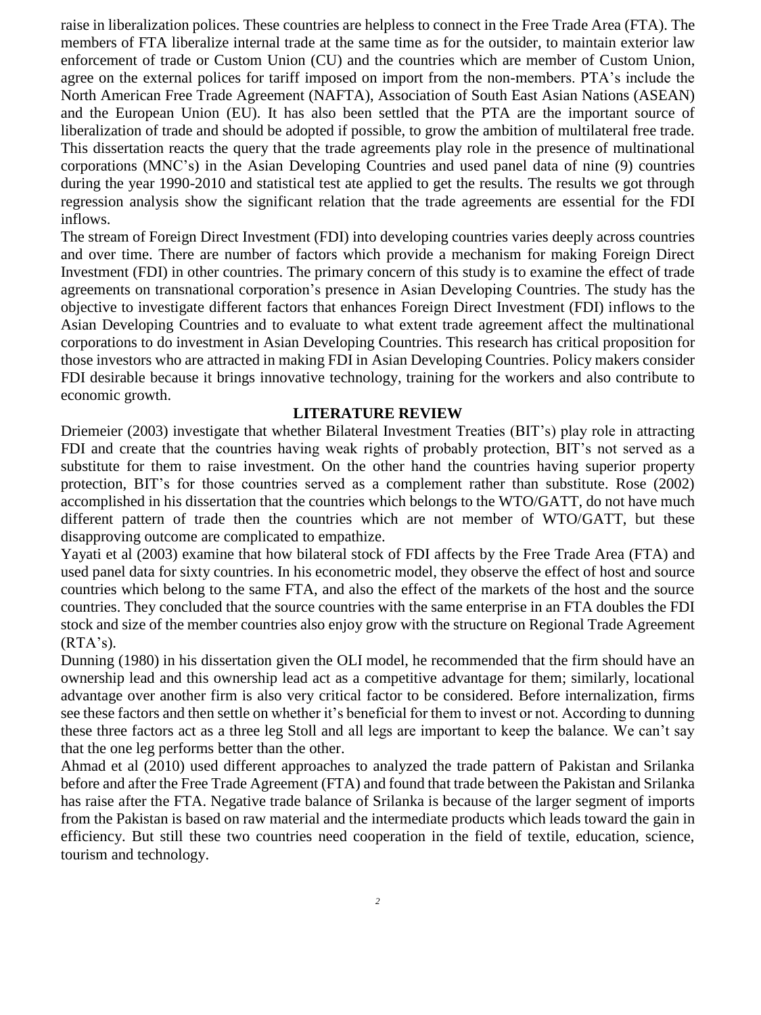raise in liberalization polices. These countries are helpless to connect in the Free Trade Area (FTA). The members of FTA liberalize internal trade at the same time as for the outsider, to maintain exterior law enforcement of trade or Custom Union (CU) and the countries which are member of Custom Union, agree on the external polices for tariff imposed on import from the non-members. PTA's include the North American Free Trade Agreement (NAFTA), Association of South East Asian Nations (ASEAN) and the European Union (EU). It has also been settled that the PTA are the important source of liberalization of trade and should be adopted if possible, to grow the ambition of multilateral free trade. This dissertation reacts the query that the trade agreements play role in the presence of multinational corporations (MNC's) in the Asian Developing Countries and used panel data of nine (9) countries during the year 1990-2010 and statistical test ate applied to get the results. The results we got through regression analysis show the significant relation that the trade agreements are essential for the FDI inflows.

The stream of Foreign Direct Investment (FDI) into developing countries varies deeply across countries and over time. There are number of factors which provide a mechanism for making Foreign Direct Investment (FDI) in other countries. The primary concern of this study is to examine the effect of trade agreements on transnational corporation's presence in Asian Developing Countries. The study has the objective to investigate different factors that enhances Foreign Direct Investment (FDI) inflows to the Asian Developing Countries and to evaluate to what extent trade agreement affect the multinational corporations to do investment in Asian Developing Countries. This research has critical proposition for those investors who are attracted in making FDI in Asian Developing Countries. Policy makers consider FDI desirable because it brings innovative technology, training for the workers and also contribute to economic growth.

#### **LITERATURE REVIEW**

Driemeier (2003) investigate that whether Bilateral Investment Treaties (BIT's) play role in attracting FDI and create that the countries having weak rights of probably protection, BIT's not served as a substitute for them to raise investment. On the other hand the countries having superior property protection, BIT's for those countries served as a complement rather than substitute. Rose (2002) accomplished in his dissertation that the countries which belongs to the WTO/GATT, do not have much different pattern of trade then the countries which are not member of WTO/GATT, but these disapproving outcome are complicated to empathize.

Yayati et al (2003) examine that how bilateral stock of FDI affects by the Free Trade Area (FTA) and used panel data for sixty countries. In his econometric model, they observe the effect of host and source countries which belong to the same FTA, and also the effect of the markets of the host and the source countries. They concluded that the source countries with the same enterprise in an FTA doubles the FDI stock and size of the member countries also enjoy grow with the structure on Regional Trade Agreement  $(RTA's)$ .

Dunning (1980) in his dissertation given the OLI model, he recommended that the firm should have an ownership lead and this ownership lead act as a competitive advantage for them; similarly, locational advantage over another firm is also very critical factor to be considered. Before internalization, firms see these factors and then settle on whether it's beneficial for them to invest or not. According to dunning these three factors act as a three leg Stoll and all legs are important to keep the balance. We can't say that the one leg performs better than the other.

Ahmad et al (2010) used different approaches to analyzed the trade pattern of Pakistan and Srilanka before and after the Free Trade Agreement (FTA) and found that trade between the Pakistan and Srilanka has raise after the FTA. Negative trade balance of Srilanka is because of the larger segment of imports from the Pakistan is based on raw material and the intermediate products which leads toward the gain in efficiency. But still these two countries need cooperation in the field of textile, education, science, tourism and technology.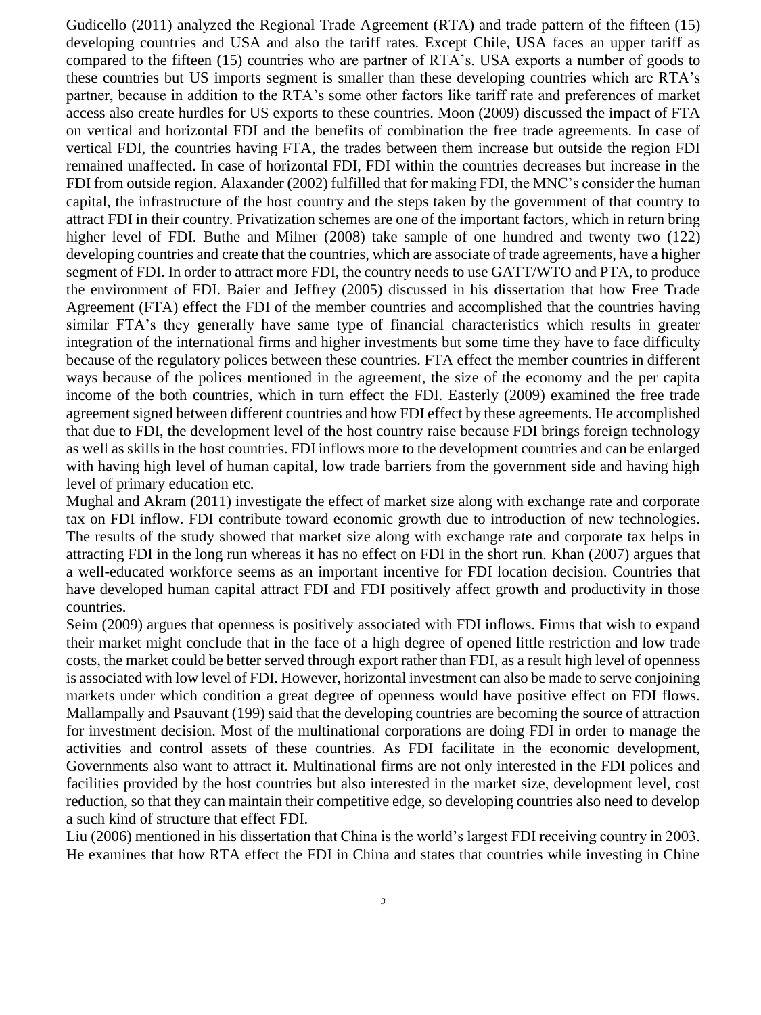Gudicello (2011) analyzed the Regional Trade Agreement (RTA) and trade pattern of the fifteen (15) developing countries and USA and also the tariff rates. Except Chile, USA faces an upper tariff as compared to the fifteen (15) countries who are partner of RTA's. USA exports a number of goods to these countries but US imports segment is smaller than these developing countries which are RTA's partner, because in addition to the RTA's some other factors like tariff rate and preferences of market access also create hurdles for US exports to these countries. Moon (2009) discussed the impact of FTA on vertical and horizontal FDI and the benefits of combination the free trade agreements. In case of vertical FDI, the countries having FTA, the trades between them increase but outside the region FDI remained unaffected. In case of horizontal FDI, FDI within the countries decreases but increase in the FDI from outside region. Alaxander (2002) fulfilled that for making FDI, the MNC's consider the human capital, the infrastructure of the host country and the steps taken by the government of that country to attract FDI in their country. Privatization schemes are one of the important factors, which in return bring higher level of FDI. Buthe and Milner (2008) take sample of one hundred and twenty two (122) developing countries and create that the countries, which are associate of trade agreements, have a higher segment of FDI. In order to attract more FDI, the country needs to use GATT/WTO and PTA, to produce the environment of FDI. Baier and Jeffrey (2005) discussed in his dissertation that how Free Trade Agreement (FTA) effect the FDI of the member countries and accomplished that the countries having similar FTA's they generally have same type of financial characteristics which results in greater integration of the international firms and higher investments but some time they have to face difficulty because of the regulatory polices between these countries. FTA effect the member countries in different ways because of the polices mentioned in the agreement, the size of the economy and the per capita income of the both countries, which in turn effect the FDI. Easterly (2009) examined the free trade agreement signed between different countries and how FDI effect by these agreements. He accomplished that due to FDI, the development level of the host country raise because FDI brings foreign technology as well as skills in the host countries. FDI inflows more to the development countries and can be enlarged with having high level of human capital, low trade barriers from the government side and having high level of primary education etc.

Mughal and Akram (2011) investigate the effect of market size along with exchange rate and corporate tax on FDI inflow. FDI contribute toward economic growth due to introduction of new technologies. The results of the study showed that market size along with exchange rate and corporate tax helps in attracting FDI in the long run whereas it has no effect on FDI in the short run. Khan (2007) argues that a well-educated workforce seems as an important incentive for FDI location decision. Countries that have developed human capital attract FDI and FDI positively affect growth and productivity in those countries.

Seim (2009) argues that openness is positively associated with FDI inflows. Firms that wish to expand their market might conclude that in the face of a high degree of opened little restriction and low trade costs, the market could be better served through export rather than FDI, as a result high level of openness is associated with low level of FDI. However, horizontal investment can also be made to serve conjoining markets under which condition a great degree of openness would have positive effect on FDI flows. Mallampally and Psauvant (199) said that the developing countries are becoming the source of attraction for investment decision. Most of the multinational corporations are doing FDI in order to manage the activities and control assets of these countries. As FDI facilitate in the economic development, Governments also want to attract it. Multinational firms are not only interested in the FDI polices and facilities provided by the host countries but also interested in the market size, development level, cost reduction, so that they can maintain their competitive edge, so developing countries also need to develop a such kind of structure that effect FDI.

Liu (2006) mentioned in his dissertation that China is the world's largest FDI receiving country in 2003. He examines that how RTA effect the FDI in China and states that countries while investing in Chine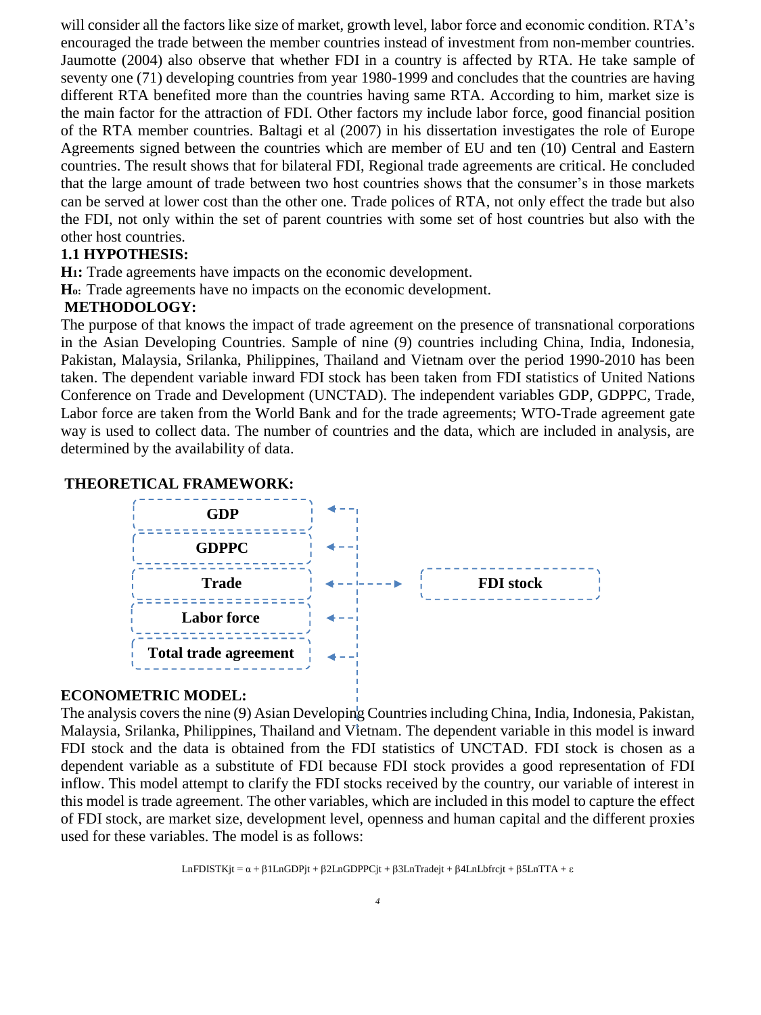will consider all the factors like size of market, growth level, labor force and economic condition. RTA's encouraged the trade between the member countries instead of investment from non-member countries. Jaumotte (2004) also observe that whether FDI in a country is affected by RTA. He take sample of seventy one (71) developing countries from year 1980-1999 and concludes that the countries are having different RTA benefited more than the countries having same RTA. According to him, market size is the main factor for the attraction of FDI. Other factors my include labor force, good financial position of the RTA member countries. Baltagi et al (2007) in his dissertation investigates the role of Europe Agreements signed between the countries which are member of EU and ten (10) Central and Eastern countries. The result shows that for bilateral FDI, Regional trade agreements are critical. He concluded that the large amount of trade between two host countries shows that the consumer's in those markets can be served at lower cost than the other one. Trade polices of RTA, not only effect the trade but also the FDI, not only within the set of parent countries with some set of host countries but also with the other host countries.

#### **1.1 HYPOTHESIS:**

**H1:** Trade agreements have impacts on the economic development.

**Ho:** Trade agreements have no impacts on the economic development.

#### **METHODOLOGY:**

The purpose of that knows the impact of trade agreement on the presence of transnational corporations in the Asian Developing Countries. Sample of nine (9) countries including China, India, Indonesia, Pakistan, Malaysia, Srilanka, Philippines, Thailand and Vietnam over the period 1990-2010 has been taken. The dependent variable inward FDI stock has been taken from FDI statistics of United Nations Conference on Trade and Development (UNCTAD). The independent variables GDP, GDPPC, Trade, Labor force are taken from the World Bank and for the trade agreements; WTO-Trade agreement gate way is used to collect data. The number of countries and the data, which are included in analysis, are determined by the availability of data.

#### **THEORETICAL FRAMEWORK:**



#### **ECONOMETRIC MODEL:**

The analysis covers the nine (9) Asian Developing Countries including China, India, Indonesia, Pakistan, Malaysia, Srilanka, Philippines, Thailand and Vietnam. The dependent variable in this model is inward FDI stock and the data is obtained from the FDI statistics of UNCTAD. FDI stock is chosen as a dependent variable as a substitute of FDI because FDI stock provides a good representation of FDI inflow. This model attempt to clarify the FDI stocks received by the country, our variable of interest in this model is trade agreement. The other variables, which are included in this model to capture the effect of FDI stock, are market size, development level, openness and human capital and the different proxies used for these variables. The model is as follows:

LnFDISTKjt =  $\alpha$  +  $\beta$ 1LnGDPjt +  $\beta$ 2LnGDPPCjt +  $\beta$ 3LnTradejt +  $\beta$ 4LnLbfrcjt +  $\beta$ 5LnTTA +  $\epsilon$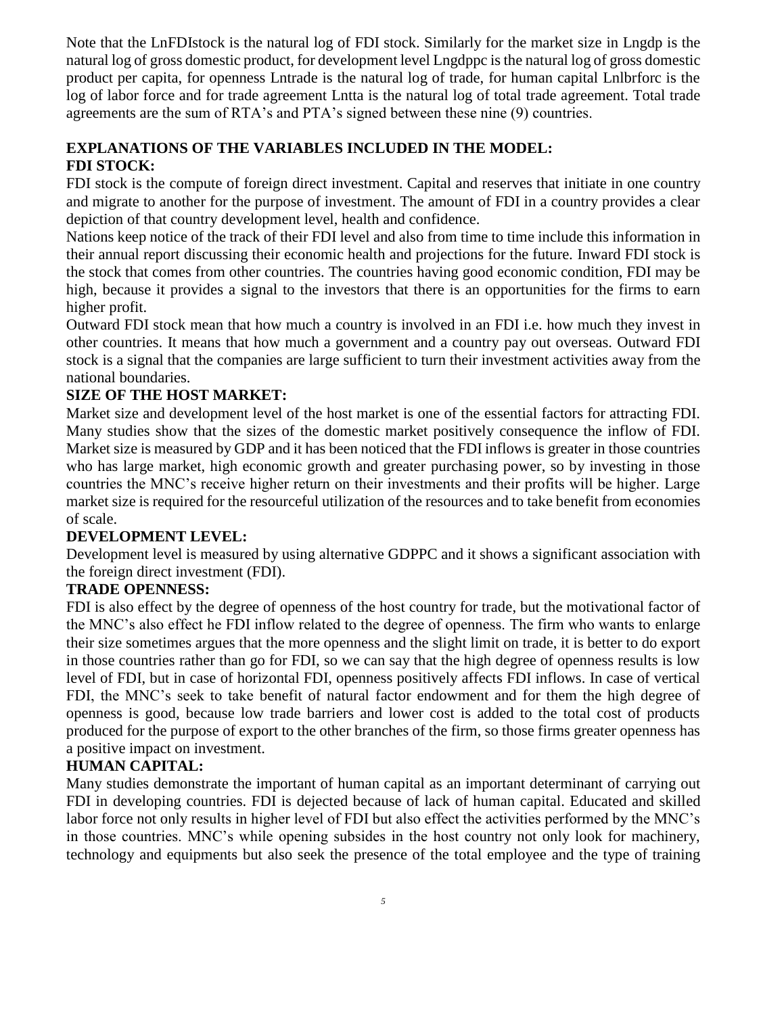Note that the LnFDIstock is the natural log of FDI stock. Similarly for the market size in Lngdp is the natural log of gross domestic product, for development level Lngdppc is the natural log of gross domestic product per capita, for openness Lntrade is the natural log of trade, for human capital Lnlbrforc is the log of labor force and for trade agreement Lntta is the natural log of total trade agreement. Total trade agreements are the sum of RTA's and PTA's signed between these nine (9) countries.

### **EXPLANATIONS OF THE VARIABLES INCLUDED IN THE MODEL: FDI STOCK:**

FDI stock is the compute of foreign direct investment. Capital and reserves that initiate in one country and migrate to another for the purpose of investment. The amount of FDI in a country provides a clear depiction of that country development level, health and confidence.

Nations keep notice of the track of their FDI level and also from time to time include this information in their annual report discussing their economic health and projections for the future. Inward FDI stock is the stock that comes from other countries. The countries having good economic condition, FDI may be high, because it provides a signal to the investors that there is an opportunities for the firms to earn higher profit.

Outward FDI stock mean that how much a country is involved in an FDI i.e. how much they invest in other countries. It means that how much a government and a country pay out overseas. Outward FDI stock is a signal that the companies are large sufficient to turn their investment activities away from the national boundaries.

# **SIZE OF THE HOST MARKET:**

Market size and development level of the host market is one of the essential factors for attracting FDI. Many studies show that the sizes of the domestic market positively consequence the inflow of FDI. Market size is measured by GDP and it has been noticed that the FDI inflows is greater in those countries who has large market, high economic growth and greater purchasing power, so by investing in those countries the MNC's receive higher return on their investments and their profits will be higher. Large market size is required for the resourceful utilization of the resources and to take benefit from economies of scale.

# **DEVELOPMENT LEVEL:**

Development level is measured by using alternative GDPPC and it shows a significant association with the foreign direct investment (FDI).

# **TRADE OPENNESS:**

FDI is also effect by the degree of openness of the host country for trade, but the motivational factor of the MNC's also effect he FDI inflow related to the degree of openness. The firm who wants to enlarge their size sometimes argues that the more openness and the slight limit on trade, it is better to do export in those countries rather than go for FDI, so we can say that the high degree of openness results is low level of FDI, but in case of horizontal FDI, openness positively affects FDI inflows. In case of vertical FDI, the MNC's seek to take benefit of natural factor endowment and for them the high degree of openness is good, because low trade barriers and lower cost is added to the total cost of products produced for the purpose of export to the other branches of the firm, so those firms greater openness has a positive impact on investment.

# **HUMAN CAPITAL:**

Many studies demonstrate the important of human capital as an important determinant of carrying out FDI in developing countries. FDI is dejected because of lack of human capital. Educated and skilled labor force not only results in higher level of FDI but also effect the activities performed by the MNC's in those countries. MNC's while opening subsides in the host country not only look for machinery, technology and equipments but also seek the presence of the total employee and the type of training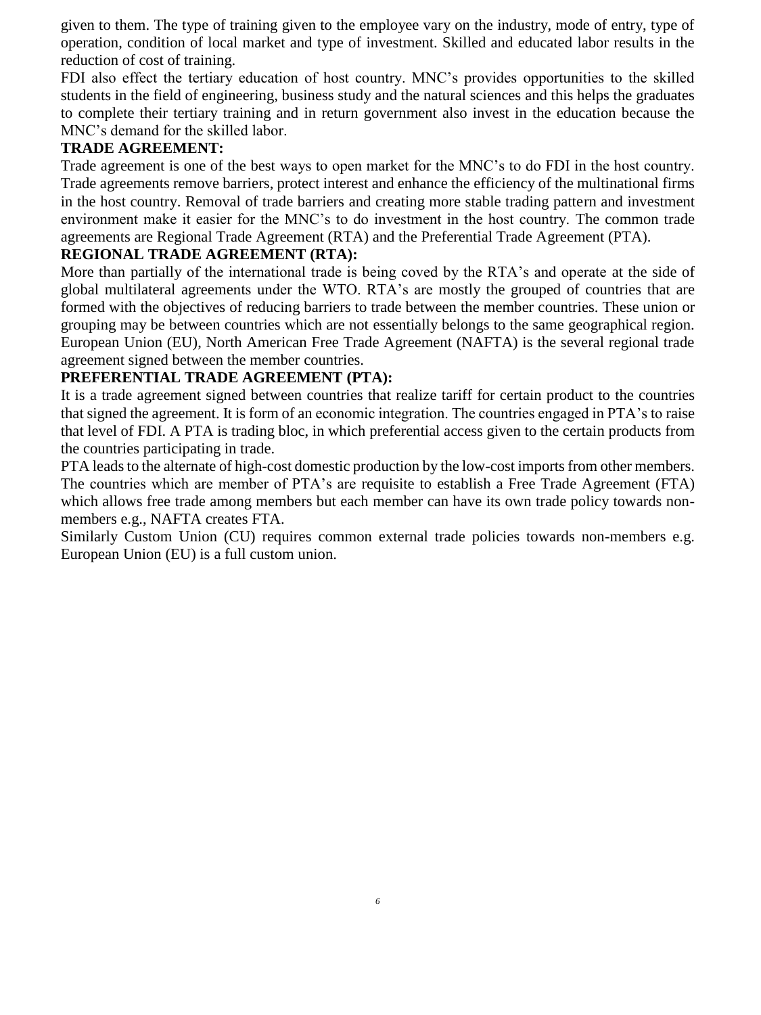given to them. The type of training given to the employee vary on the industry, mode of entry, type of operation, condition of local market and type of investment. Skilled and educated labor results in the reduction of cost of training.

FDI also effect the tertiary education of host country. MNC's provides opportunities to the skilled students in the field of engineering, business study and the natural sciences and this helps the graduates to complete their tertiary training and in return government also invest in the education because the MNC's demand for the skilled labor.

# **TRADE AGREEMENT:**

Trade agreement is one of the best ways to open market for the MNC's to do FDI in the host country. Trade agreements remove barriers, protect interest and enhance the efficiency of the multinational firms in the host country. Removal of trade barriers and creating more stable trading pattern and investment environment make it easier for the MNC's to do investment in the host country. The common trade agreements are Regional Trade Agreement (RTA) and the Preferential Trade Agreement (PTA).

# **REGIONAL TRADE AGREEMENT (RTA):**

More than partially of the international trade is being coved by the RTA's and operate at the side of global multilateral agreements under the WTO. RTA's are mostly the grouped of countries that are formed with the objectives of reducing barriers to trade between the member countries. These union or grouping may be between countries which are not essentially belongs to the same geographical region. European Union (EU), North American Free Trade Agreement (NAFTA) is the several regional trade agreement signed between the member countries.

### **PREFERENTIAL TRADE AGREEMENT (PTA):**

It is a trade agreement signed between countries that realize tariff for certain product to the countries that signed the agreement. It is form of an economic integration. The countries engaged in PTA's to raise that level of FDI. A PTA is trading bloc, in which preferential access given to the certain products from the countries participating in trade.

PTA leads to the alternate of high-cost domestic production by the low-cost imports from other members. The countries which are member of PTA's are requisite to establish a Free Trade Agreement (FTA) which allows free trade among members but each member can have its own trade policy towards nonmembers e.g., NAFTA creates FTA.

Similarly Custom Union (CU) requires common external trade policies towards non-members e.g. European Union (EU) is a full custom union.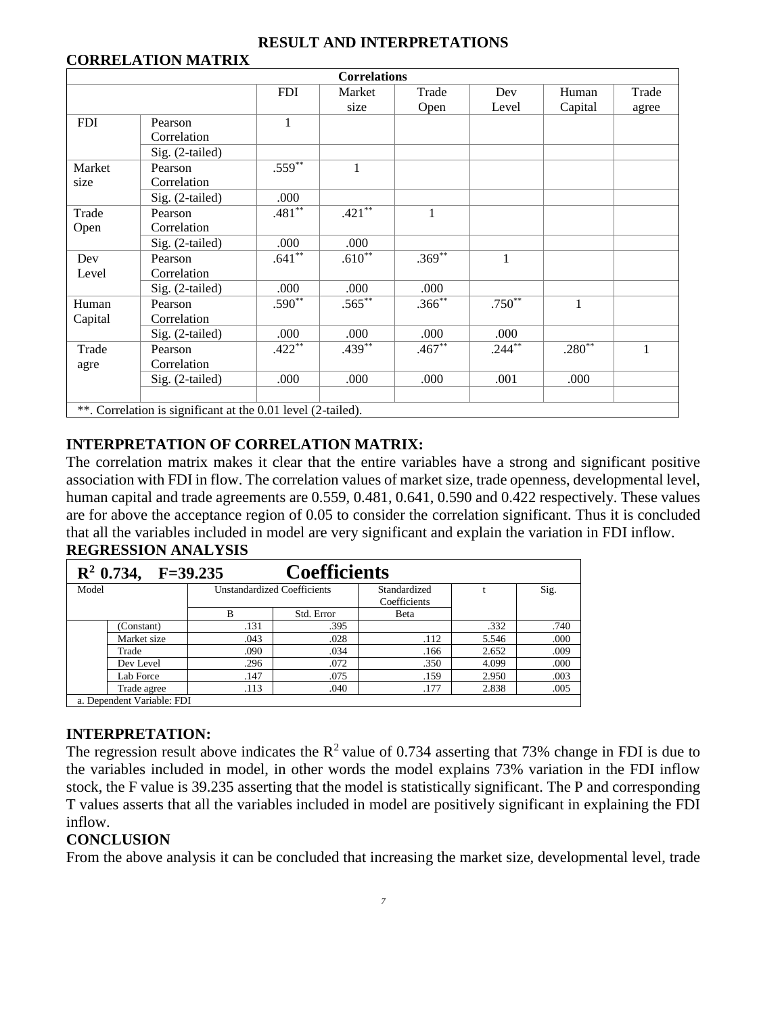#### **RESULT AND INTERPRETATIONS**

# **CORRELATION MATRIX**

| <b>Correlations</b>                                          |                 |            |             |              |              |                        |       |  |  |  |  |
|--------------------------------------------------------------|-----------------|------------|-------------|--------------|--------------|------------------------|-------|--|--|--|--|
|                                                              |                 | <b>FDI</b> | Market      | Trade        | Dev          | Human                  | Trade |  |  |  |  |
|                                                              |                 |            | size        | Open         | Level        | Capital                | agree |  |  |  |  |
| <b>FDI</b>                                                   | Pearson         | 1          |             |              |              |                        |       |  |  |  |  |
|                                                              | Correlation     |            |             |              |              |                        |       |  |  |  |  |
|                                                              | Sig. (2-tailed) |            |             |              |              |                        |       |  |  |  |  |
| Market                                                       | Pearson         | $.559***$  | $\mathbf 1$ |              |              |                        |       |  |  |  |  |
| size                                                         | Correlation     |            |             |              |              |                        |       |  |  |  |  |
|                                                              | Sig. (2-tailed) | .000       |             |              |              |                        |       |  |  |  |  |
| Trade                                                        | Pearson         | $.481**$   | $.421***$   | $\mathbf{1}$ |              |                        |       |  |  |  |  |
| Open                                                         | Correlation     |            |             |              |              |                        |       |  |  |  |  |
|                                                              | Sig. (2-tailed) | .000       | .000        |              |              |                        |       |  |  |  |  |
| Dev                                                          | Pearson         | $.641**$   | $.610**$    | $.369**$     | $\mathbf{1}$ |                        |       |  |  |  |  |
| Level                                                        | Correlation     |            |             |              |              |                        |       |  |  |  |  |
|                                                              | Sig. (2-tailed) | .000       | .000        | .000         |              |                        |       |  |  |  |  |
| Human                                                        | Pearson         | $.590**$   | $.565***$   | $.366^{**}$  | $.750**$     | 1                      |       |  |  |  |  |
| Capital                                                      | Correlation     |            |             |              |              |                        |       |  |  |  |  |
|                                                              | Sig. (2-tailed) | .000       | .000        | .000         | .000         |                        |       |  |  |  |  |
| Trade                                                        | Pearson         | $.422**$   | $.439***$   | $.467**$     | $.244***$    | $.280^{\overline{**}}$ | 1     |  |  |  |  |
| agre                                                         | Correlation     |            |             |              |              |                        |       |  |  |  |  |
|                                                              | Sig. (2-tailed) | .000       | .000        | .000         | .001         | .000                   |       |  |  |  |  |
|                                                              |                 |            |             |              |              |                        |       |  |  |  |  |
| **. Correlation is significant at the 0.01 level (2-tailed). |                 |            |             |              |              |                        |       |  |  |  |  |

# **INTERPRETATION OF CORRELATION MATRIX:**

The correlation matrix makes it clear that the entire variables have a strong and significant positive association with FDI in flow. The correlation values of market size, trade openness, developmental level, human capital and trade agreements are 0.559, 0.481, 0.641, 0.590 and 0.422 respectively. These values are for above the acceptance region of 0.05 to consider the correlation significant. Thus it is concluded that all the variables included in model are very significant and explain the variation in FDI inflow. **REGRESSION ANALYSIS**

| <b>Coefficients</b><br>$R^2$ 0.734, F=39.235 |                           |      |                                    |                              |       |      |  |  |  |  |
|----------------------------------------------|---------------------------|------|------------------------------------|------------------------------|-------|------|--|--|--|--|
| Model                                        |                           |      | <b>Unstandardized Coefficients</b> | Standardized<br>Coefficients |       | Sig. |  |  |  |  |
|                                              |                           | B    | Std. Error                         | Beta                         |       |      |  |  |  |  |
|                                              | (Constant)                | .131 | .395                               |                              | .332  | .740 |  |  |  |  |
|                                              | Market size               | .043 | .028                               | .112                         | 5.546 | .000 |  |  |  |  |
|                                              | Trade                     | .090 | .034                               | .166                         | 2.652 | .009 |  |  |  |  |
|                                              | Dev Level                 | .296 | .072                               | .350                         | 4.099 | .000 |  |  |  |  |
|                                              | Lab Force                 | .147 | .075                               | .159                         | 2.950 | .003 |  |  |  |  |
|                                              | Trade agree               | .113 | .040                               | .177                         | 2.838 | .005 |  |  |  |  |
|                                              | a Dependent Variable: EDI |      |                                    |                              |       |      |  |  |  |  |

a. Dependent Variable: FDI

### **INTERPRETATION:**

The regression result above indicates the  $R^2$  value of 0.734 asserting that 73% change in FDI is due to the variables included in model, in other words the model explains 73% variation in the FDI inflow stock, the F value is 39.235 asserting that the model is statistically significant. The P and corresponding T values asserts that all the variables included in model are positively significant in explaining the FDI inflow.

# **CONCLUSION**

From the above analysis it can be concluded that increasing the market size, developmental level, trade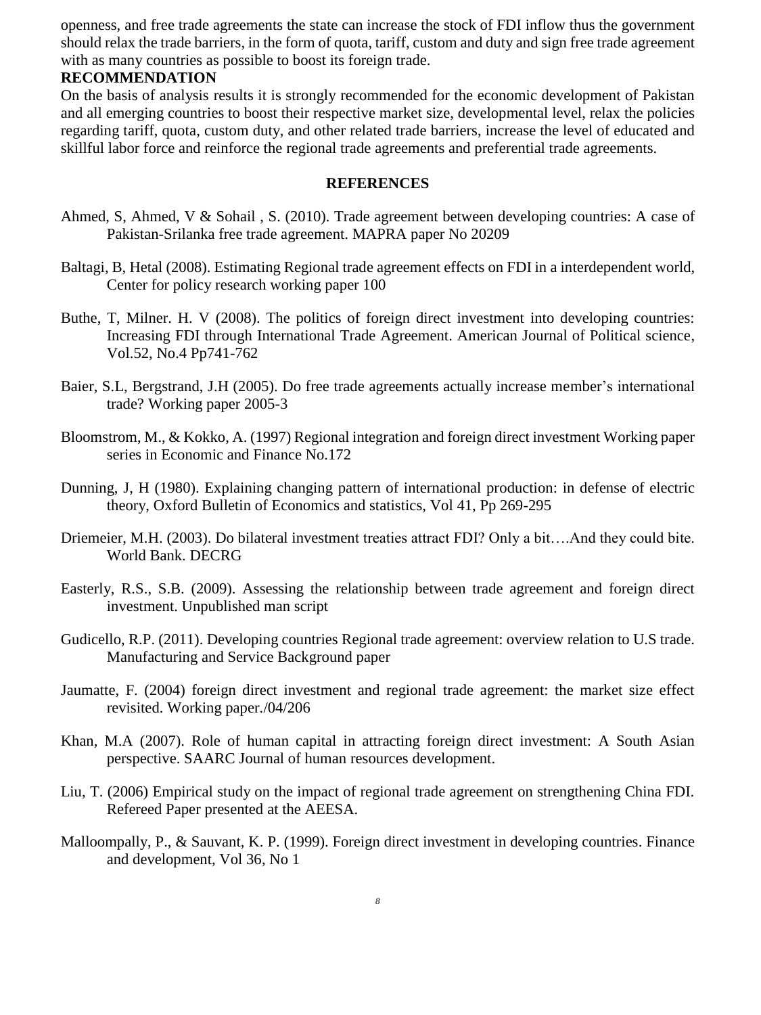openness, and free trade agreements the state can increase the stock of FDI inflow thus the government should relax the trade barriers, in the form of quota, tariff, custom and duty and sign free trade agreement with as many countries as possible to boost its foreign trade.

#### **RECOMMENDATION**

On the basis of analysis results it is strongly recommended for the economic development of Pakistan and all emerging countries to boost their respective market size, developmental level, relax the policies regarding tariff, quota, custom duty, and other related trade barriers, increase the level of educated and skillful labor force and reinforce the regional trade agreements and preferential trade agreements.

#### **REFERENCES**

- Ahmed, S, Ahmed, V & Sohail , S. (2010). Trade agreement between developing countries: A case of Pakistan-Srilanka free trade agreement. MAPRA paper No 20209
- Baltagi, B, Hetal (2008). Estimating Regional trade agreement effects on FDI in a interdependent world, Center for policy research working paper 100
- Buthe, T, Milner. H. V (2008). The politics of foreign direct investment into developing countries: Increasing FDI through International Trade Agreement. American Journal of Political science, Vol.52, No.4 Pp741-762
- Baier, S.L, Bergstrand, J.H (2005). Do free trade agreements actually increase member's international trade? Working paper 2005-3
- Bloomstrom, M., & Kokko, A. (1997) Regional integration and foreign direct investment Working paper series in Economic and Finance No.172
- Dunning, J, H (1980). Explaining changing pattern of international production: in defense of electric theory, Oxford Bulletin of Economics and statistics, Vol 41, Pp 269-295
- Driemeier, M.H. (2003). Do bilateral investment treaties attract FDI? Only a bit….And they could bite. World Bank. DECRG
- Easterly, R.S., S.B. (2009). Assessing the relationship between trade agreement and foreign direct investment. Unpublished man script
- Gudicello, R.P. (2011). Developing countries Regional trade agreement: overview relation to U.S trade. Manufacturing and Service Background paper
- Jaumatte, F. (2004) foreign direct investment and regional trade agreement: the market size effect revisited. Working paper./04/206
- Khan, M.A (2007). Role of human capital in attracting foreign direct investment: A South Asian perspective. SAARC Journal of human resources development.
- Liu, T. (2006) Empirical study on the impact of regional trade agreement on strengthening China FDI. Refereed Paper presented at the AEESA.
- Malloompally, P., & Sauvant, K. P. (1999). Foreign direct investment in developing countries. Finance and development, Vol 36, No 1